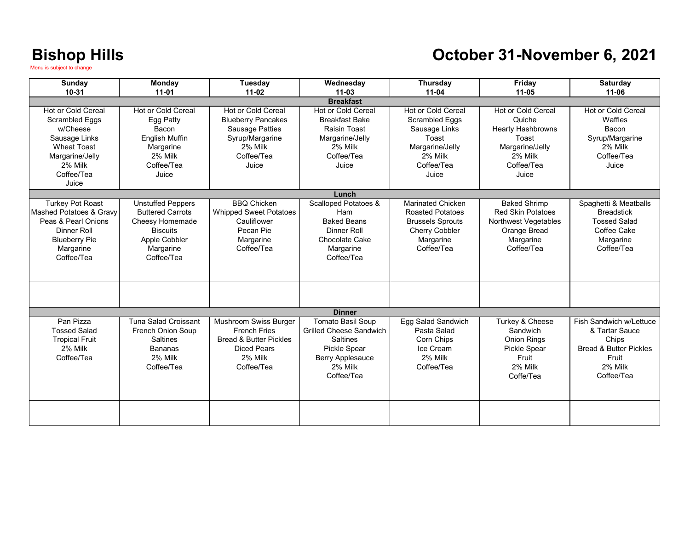#### **October 31-November 6, 2021**

| <b>Sunday</b>           | <b>Monday</b>               | Tuesday                           | Wednesday                       | Thursday                | Friday                    | <b>Saturday</b>                   |
|-------------------------|-----------------------------|-----------------------------------|---------------------------------|-------------------------|---------------------------|-----------------------------------|
| 10-31                   | $11-01$                     | $11 - 02$                         | $11 - 03$                       | $11 - 04$               | $11 - 05$                 | $11 - 06$                         |
| <b>Breakfast</b>        |                             |                                   |                                 |                         |                           |                                   |
| Hot or Cold Cereal      | <b>Hot or Cold Cereal</b>   | <b>Hot or Cold Cereal</b>         | Hot or Cold Cereal              | Hot or Cold Cereal      | <b>Hot or Cold Cereal</b> | Hot or Cold Cereal                |
| <b>Scrambled Eggs</b>   | Egg Patty                   | <b>Blueberry Pancakes</b>         | <b>Breakfast Bake</b>           | Scrambled Eggs          | Quiche                    | Waffles                           |
| w/Cheese                | Bacon                       | <b>Sausage Patties</b>            | Raisin Toast                    | Sausage Links           | <b>Hearty Hashbrowns</b>  | Bacon                             |
| Sausage Links           | <b>English Muffin</b>       | Syrup/Margarine                   | Margarine/Jelly                 | Toast                   | Toast                     | Syrup/Margarine                   |
| <b>Wheat Toast</b>      | Margarine                   | 2% Milk                           | 2% Milk                         | Margarine/Jelly         | Margarine/Jelly           | 2% Milk                           |
| Margarine/Jelly         | 2% Milk                     | Coffee/Tea                        | Coffee/Tea                      | 2% Milk                 | 2% Milk                   | Coffee/Tea                        |
| 2% Milk                 | Coffee/Tea                  | Juice                             | Juice                           | Coffee/Tea              | Coffee/Tea                | Juice                             |
| Coffee/Tea              | Juice                       |                                   |                                 | Juice                   | Juice                     |                                   |
| Juice                   |                             |                                   |                                 |                         |                           |                                   |
|                         |                             |                                   | Lunch                           |                         |                           |                                   |
| <b>Turkey Pot Roast</b> | <b>Unstuffed Peppers</b>    | <b>BBQ Chicken</b>                | <b>Scalloped Potatoes &amp;</b> | Marinated Chicken       | <b>Baked Shrimp</b>       | Spaghetti & Meatballs             |
| Mashed Potatoes & Gravy | <b>Buttered Carrots</b>     | <b>Whipped Sweet Potatoes</b>     | Ham                             | <b>Roasted Potatoes</b> | <b>Red Skin Potatoes</b>  | <b>Breadstick</b>                 |
| Peas & Pearl Onions     | Cheesy Homemade             | Cauliflower                       | <b>Baked Beans</b>              | <b>Brussels Sprouts</b> | Northwest Vegetables      | <b>Tossed Salad</b>               |
| Dinner Roll             | <b>Biscuits</b>             | Pecan Pie                         | Dinner Roll                     | <b>Cherry Cobbler</b>   | Orange Bread              | Coffee Cake                       |
| <b>Blueberry Pie</b>    | Apple Cobbler               | Margarine                         | Chocolate Cake                  | Margarine               | Margarine                 | Margarine                         |
| Margarine               | Margarine                   | Coffee/Tea                        | Margarine                       | Coffee/Tea              | Coffee/Tea                | Coffee/Tea                        |
| Coffee/Tea              | Coffee/Tea                  |                                   | Coffee/Tea                      |                         |                           |                                   |
|                         |                             |                                   |                                 |                         |                           |                                   |
|                         |                             |                                   |                                 |                         |                           |                                   |
|                         |                             |                                   |                                 |                         |                           |                                   |
|                         |                             |                                   |                                 |                         |                           |                                   |
|                         |                             |                                   | <b>Dinner</b>                   |                         |                           |                                   |
| Pan Pizza               | <b>Tuna Salad Croissant</b> | Mushroom Swiss Burger             | Tomato Basil Soup               | Egg Salad Sandwich      | Turkey & Cheese           | Fish Sandwich w/Lettuce           |
| <b>Tossed Salad</b>     | <b>French Onion Soup</b>    | <b>French Fries</b>               | <b>Grilled Cheese Sandwich</b>  | Pasta Salad             | Sandwich                  | & Tartar Sauce                    |
| <b>Tropical Fruit</b>   | <b>Saltines</b>             | <b>Bread &amp; Butter Pickles</b> | <b>Saltines</b>                 | Corn Chips              | <b>Onion Rings</b>        | Chips                             |
| 2% Milk                 | <b>Bananas</b>              | <b>Diced Pears</b>                | <b>Pickle Spear</b>             | Ice Cream               | Pickle Spear              | <b>Bread &amp; Butter Pickles</b> |
| Coffee/Tea              | 2% Milk                     | 2% Milk                           | <b>Berry Applesauce</b>         | 2% Milk                 | Fruit                     | Fruit                             |
|                         | Coffee/Tea                  | Coffee/Tea                        | 2% Milk                         | Coffee/Tea              | 2% Milk                   | 2% Milk                           |
|                         |                             |                                   | Coffee/Tea                      |                         | Coffe/Tea                 | Coffee/Tea                        |
|                         |                             |                                   |                                 |                         |                           |                                   |
|                         |                             |                                   |                                 |                         |                           |                                   |
|                         |                             |                                   |                                 |                         |                           |                                   |
|                         |                             |                                   |                                 |                         |                           |                                   |
|                         |                             |                                   |                                 |                         |                           |                                   |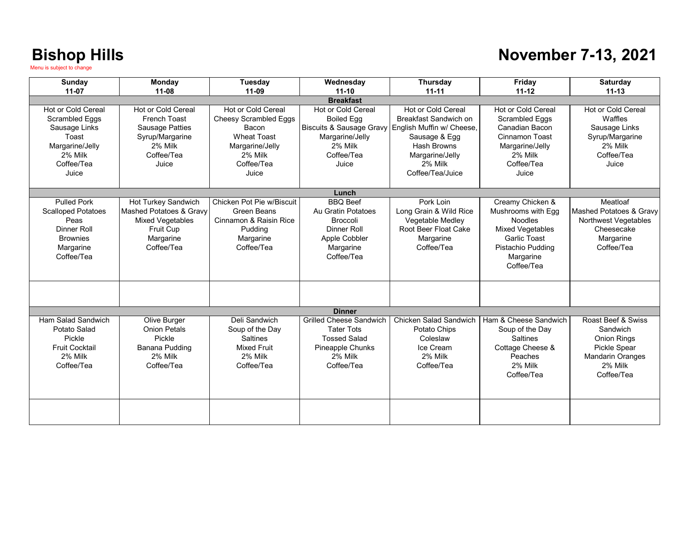#### **November 7-13, 2021**

| Sunday<br>$11-07$                                                                                                           | <b>Monday</b><br>$11 - 08$                                                                                        | Tuesday<br>$11-09$                                                                                                              | Wednesday<br>$11 - 10$                                                                                                                     | Thursday<br>$11 - 11$                                                                                                                                             | Friday<br>$11 - 12$                                                                                                                                        | <b>Saturday</b><br>$11 - 13$                                                                         |
|-----------------------------------------------------------------------------------------------------------------------------|-------------------------------------------------------------------------------------------------------------------|---------------------------------------------------------------------------------------------------------------------------------|--------------------------------------------------------------------------------------------------------------------------------------------|-------------------------------------------------------------------------------------------------------------------------------------------------------------------|------------------------------------------------------------------------------------------------------------------------------------------------------------|------------------------------------------------------------------------------------------------------|
| <b>Breakfast</b>                                                                                                            |                                                                                                                   |                                                                                                                                 |                                                                                                                                            |                                                                                                                                                                   |                                                                                                                                                            |                                                                                                      |
| <b>Hot or Cold Cereal</b><br>Scrambled Eggs<br>Sausage Links<br>Toast<br>Margarine/Jelly<br>2% Milk<br>Coffee/Tea<br>Juice  | Hot or Cold Cereal<br>French Toast<br><b>Sausage Patties</b><br>Syrup/Margarine<br>2% Milk<br>Coffee/Tea<br>Juice | Hot or Cold Cereal<br>Cheesy Scrambled Eggs<br>Bacon<br><b>Wheat Toast</b><br>Margarine/Jelly<br>2% Milk<br>Coffee/Tea<br>Juice | <b>Hot or Cold Cereal</b><br><b>Boiled Egg</b><br><b>Biscuits &amp; Sausage Gravy</b><br>Margarine/Jelly<br>2% Milk<br>Coffee/Tea<br>Juice | Hot or Cold Cereal<br>Breakfast Sandwich on<br>English Muffin w/ Cheese,<br>Sausage & Egg<br><b>Hash Browns</b><br>Margarine/Jelly<br>2% Milk<br>Coffee/Tea/Juice | <b>Hot or Cold Cereal</b><br><b>Scrambled Eggs</b><br>Canadian Bacon<br>Cinnamon Toast<br>Margarine/Jelly<br>2% Milk<br>Coffee/Tea<br>Juice                | Hot or Cold Cereal<br>Waffles<br>Sausage Links<br>Syrup/Margarine<br>2% Milk<br>Coffee/Tea<br>Juice  |
|                                                                                                                             |                                                                                                                   |                                                                                                                                 | Lunch                                                                                                                                      |                                                                                                                                                                   |                                                                                                                                                            |                                                                                                      |
| <b>Pulled Pork</b><br><b>Scalloped Potatoes</b><br>Peas<br><b>Dinner Roll</b><br><b>Brownies</b><br>Margarine<br>Coffee/Tea | Hot Turkey Sandwich<br>Mashed Potatoes & Gravy<br><b>Mixed Vegetables</b><br>Fruit Cup<br>Margarine<br>Coffee/Tea | Chicken Pot Pie w/Biscuit<br>Green Beans<br>Cinnamon & Raisin Rice<br>Pudding<br>Margarine<br>Coffee/Tea                        | <b>BBQ Beef</b><br>Au Gratin Potatoes<br><b>Broccoli</b><br>Dinner Roll<br>Apple Cobbler<br>Margarine<br>Coffee/Tea                        | Pork Loin<br>Long Grain & Wild Rice<br>Vegetable Medley<br>Root Beer Float Cake<br>Margarine<br>Coffee/Tea                                                        | Creamy Chicken &<br>Mushrooms with Egg<br><b>Noodles</b><br><b>Mixed Vegetables</b><br><b>Garlic Toast</b><br>Pistachio Pudding<br>Margarine<br>Coffee/Tea | Meatloaf<br>Mashed Potatoes & Gravy<br>Northwest Vegetables<br>Cheesecake<br>Margarine<br>Coffee/Tea |
|                                                                                                                             |                                                                                                                   |                                                                                                                                 |                                                                                                                                            |                                                                                                                                                                   |                                                                                                                                                            |                                                                                                      |
| Ham Salad Sandwich                                                                                                          |                                                                                                                   | Deli Sandwich                                                                                                                   | <b>Dinner</b><br><b>Grilled Cheese Sandwich</b>                                                                                            | Chicken Salad Sandwich                                                                                                                                            | Ham & Cheese Sandwich                                                                                                                                      | Roast Beef & Swiss                                                                                   |
| Potato Salad<br>Pickle<br><b>Fruit Cocktail</b><br>2% Milk<br>Coffee/Tea                                                    | Olive Burger<br><b>Onion Petals</b><br>Pickle<br><b>Banana Pudding</b><br>2% Milk<br>Coffee/Tea                   | Soup of the Day<br><b>Saltines</b><br><b>Mixed Fruit</b><br>2% Milk<br>Coffee/Tea                                               | <b>Tater Tots</b><br><b>Tossed Salad</b><br>Pineapple Chunks<br>2% Milk<br>Coffee/Tea                                                      | Potato Chips<br>Coleslaw<br>Ice Cream<br>2% Milk<br>Coffee/Tea                                                                                                    | Soup of the Day<br><b>Saltines</b><br>Cottage Cheese &<br>Peaches<br>2% Milk<br>Coffee/Tea                                                                 | Sandwich<br>Onion Rings<br>Pickle Spear<br><b>Mandarin Oranges</b><br>2% Milk<br>Coffee/Tea          |
|                                                                                                                             |                                                                                                                   |                                                                                                                                 |                                                                                                                                            |                                                                                                                                                                   |                                                                                                                                                            |                                                                                                      |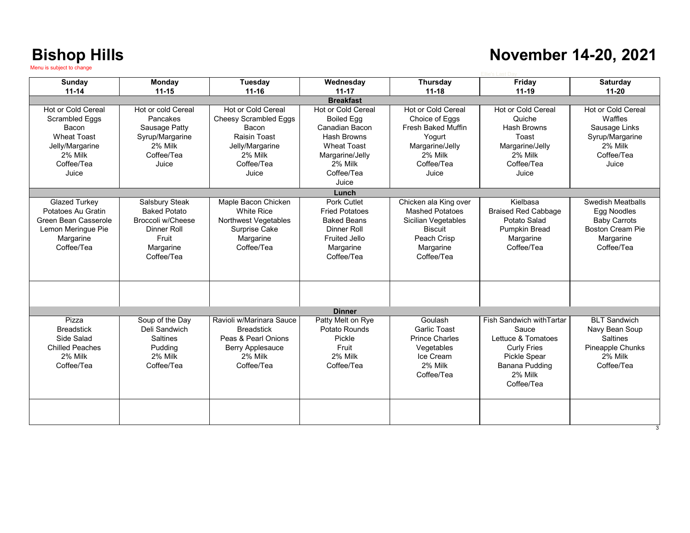#### **November 14-20, 2021**

| <b>Sunday</b>          | <b>Monday</b>       | Tuesday                      | Wednesday             | Thursday                  | Friday                     | Saturday                |
|------------------------|---------------------|------------------------------|-----------------------|---------------------------|----------------------------|-------------------------|
| $11 - 14$              | $11 - 15$           | $11 - 16$                    | $11 - 17$             | $11 - 18$                 | $11 - 19$                  | $11 - 20$               |
|                        |                     |                              | <b>Breakfast</b>      |                           |                            |                         |
| Hot or Cold Cereal     | Hot or cold Cereal  | Hot or Cold Cereal           | Hot or Cold Cereal    | Hot or Cold Cereal        | Hot or Cold Cereal         | Hot or Cold Cereal      |
| <b>Scrambled Eggs</b>  | Pancakes            | <b>Cheesy Scrambled Eggs</b> | <b>Boiled Egg</b>     | Choice of Eggs            | Quiche                     | Waffles                 |
| Bacon                  | Sausage Patty       | Bacon                        | Canadian Bacon        | <b>Fresh Baked Muffin</b> | Hash Browns                | Sausage Links           |
| <b>Wheat Toast</b>     | Syrup/Margarine     | Raisin Toast                 | Hash Browns           | Yogurt                    | Toast                      | Syrup/Margarine         |
| Jelly/Margarine        | 2% Milk             | Jelly/Margarine              | <b>Wheat Toast</b>    | Margarine/Jelly           | Margarine/Jelly            | 2% Milk                 |
| 2% Milk                | Coffee/Tea          | 2% Milk                      | Margarine/Jelly       | 2% Milk                   | 2% Milk                    | Coffee/Tea              |
| Coffee/Tea             | Juice               | Coffee/Tea                   | 2% Milk               | Coffee/Tea                | Coffee/Tea                 | Juice                   |
| Juice                  |                     | Juice                        | Coffee/Tea            | Juice                     | Juice                      |                         |
|                        |                     |                              | Juice                 |                           |                            |                         |
|                        |                     |                              | Lunch                 |                           |                            |                         |
| <b>Glazed Turkey</b>   | Salsbury Steak      | Maple Bacon Chicken          | Pork Cutlet           | Chicken ala King over     | Kielbasa                   | Swedish Meatballs       |
| Potatoes Au Gratin     | <b>Baked Potato</b> | <b>White Rice</b>            | <b>Fried Potatoes</b> | <b>Mashed Potatoes</b>    | <b>Braised Red Cabbage</b> | Egg Noodles             |
| Green Bean Casserole   | Broccoli w/Cheese   | <b>Northwest Vegetables</b>  | <b>Baked Beans</b>    | Sicilian Vegetables       | Potato Salad               | <b>Baby Carrots</b>     |
| Lemon Meringue Pie     | Dinner Roll         | Surprise Cake                | Dinner Roll           | <b>Biscuit</b>            | <b>Pumpkin Bread</b>       | <b>Boston Cream Pie</b> |
| Margarine              | Fruit               | Margarine                    | <b>Fruited Jello</b>  | Peach Crisp               | Margarine                  | Margarine               |
| Coffee/Tea             | Margarine           | Coffee/Tea                   | Margarine             | Margarine                 | Coffee/Tea                 | Coffee/Tea              |
|                        | Coffee/Tea          |                              | Coffee/Tea            | Coffee/Tea                |                            |                         |
|                        |                     |                              |                       |                           |                            |                         |
|                        |                     |                              |                       |                           |                            |                         |
|                        |                     |                              |                       |                           |                            |                         |
|                        |                     |                              |                       |                           |                            |                         |
|                        |                     |                              |                       |                           |                            |                         |
|                        |                     |                              | <b>Dinner</b>         |                           |                            |                         |
| Pizza                  | Soup of the Day     | Ravioli w/Marinara Sauce     | Patty Melt on Rye     | Goulash                   | Fish Sandwich with Tartar  | <b>BI T Sandwich</b>    |
| <b>Breadstick</b>      | Deli Sandwich       | <b>Breadstick</b>            | Potato Rounds         | Garlic Toast              | Sauce                      | Navy Bean Soup          |
| Side Salad             | <b>Saltines</b>     | Peas & Pearl Onions          | Pickle                | <b>Prince Charles</b>     | Lettuce & Tomatoes         | <b>Saltines</b>         |
| <b>Chilled Peaches</b> | Pudding             | <b>Berry Applesauce</b>      | Fruit                 | Vegetables                | <b>Curly Fries</b>         | Pineapple Chunks        |
| 2% Milk                | 2% Milk             | 2% Milk                      | 2% Milk               | Ice Cream                 | <b>Pickle Spear</b>        | 2% Milk                 |
| Coffee/Tea             | Coffee/Tea          | Coffee/Tea                   | Coffee/Tea            | 2% Milk                   | <b>Banana Pudding</b>      | Coffee/Tea              |
|                        |                     |                              |                       | Coffee/Tea                | 2% Milk                    |                         |
|                        |                     |                              |                       |                           | Coffee/Tea                 |                         |
|                        |                     |                              |                       |                           |                            |                         |
|                        |                     |                              |                       |                           |                            |                         |
|                        |                     |                              |                       |                           |                            |                         |
|                        |                     |                              |                       |                           |                            |                         |
|                        |                     |                              |                       |                           |                            |                         |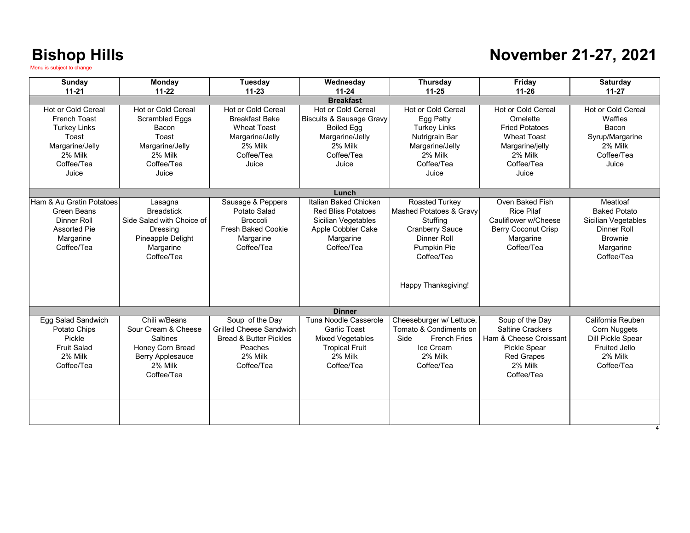### **November 21-27, 2021**

| Sunday<br>$11 - 21$                                                                                                            | Monday<br>$11 - 22$                                                                                                      | Tuesday<br>$11 - 23$                                                                                                       | Wednesday<br>$11 - 24$                                                                                                              | <b>Thursday</b><br>$11 - 25$                                                                                                                       | Friday<br>$11 - 26$                                                                                                                       | Saturday<br>$11 - 27$                                                                                                     |  |
|--------------------------------------------------------------------------------------------------------------------------------|--------------------------------------------------------------------------------------------------------------------------|----------------------------------------------------------------------------------------------------------------------------|-------------------------------------------------------------------------------------------------------------------------------------|----------------------------------------------------------------------------------------------------------------------------------------------------|-------------------------------------------------------------------------------------------------------------------------------------------|---------------------------------------------------------------------------------------------------------------------------|--|
| <b>Breakfast</b>                                                                                                               |                                                                                                                          |                                                                                                                            |                                                                                                                                     |                                                                                                                                                    |                                                                                                                                           |                                                                                                                           |  |
| Hot or Cold Cereal<br><b>French Toast</b><br><b>Turkey Links</b><br>Toast<br>Margarine/Jelly<br>2% Milk<br>Coffee/Tea<br>Juice | Hot or Cold Cereal<br>Scrambled Eggs<br>Bacon<br>Toast<br>Margarine/Jelly<br>2% Milk<br>Coffee/Tea<br>Juice              | Hot or Cold Cereal<br><b>Breakfast Bake</b><br><b>Wheat Toast</b><br>Margarine/Jelly<br>2% Milk<br>Coffee/Tea<br>Juice     | Hot or Cold Cereal<br><b>Biscuits &amp; Sausage Gravy</b><br><b>Boiled Egg</b><br>Margarine/Jelly<br>2% Milk<br>Coffee/Tea<br>Juice | Hot or Cold Cereal<br>Egg Patty<br><b>Turkey Links</b><br>Nutrigrain Bar<br>Margarine/Jelly<br>2% Milk<br>Coffee/Tea<br>Juice                      | Hot or Cold Cereal<br>Omelette<br><b>Fried Potatoes</b><br><b>Wheat Toast</b><br>Margarine/jelly<br>2% Milk<br>Coffee/Tea<br>Juice        | Hot or Cold Cereal<br>Waffles<br>Bacon<br>Syrup/Margarine<br>2% Milk<br>Coffee/Tea<br>Juice                               |  |
|                                                                                                                                |                                                                                                                          |                                                                                                                            | Lunch                                                                                                                               |                                                                                                                                                    |                                                                                                                                           |                                                                                                                           |  |
| Ham & Au Gratin Potatoes<br><b>Green Beans</b><br>Dinner Roll<br><b>Assorted Pie</b><br>Margarine<br>Coffee/Tea                | Lasagna<br><b>Breadstick</b><br>Side Salad with Choice of<br>Dressing<br>Pineapple Delight<br>Margarine<br>Coffee/Tea    | Sausage & Peppers<br>Potato Salad<br><b>Broccoli</b><br><b>Fresh Baked Cookie</b><br>Margarine<br>Coffee/Tea               | Italian Baked Chicken<br><b>Red Bliss Potatoes</b><br>Sicilian Vegetables<br>Apple Cobbler Cake<br>Margarine<br>Coffee/Tea          | Roasted Turkey<br>Mashed Potatoes & Gravy<br>Stuffing<br><b>Cranberry Sauce</b><br>Dinner Roll<br>Pumpkin Pie<br>Coffee/Tea<br>Happy Thanksgiving! | Oven Baked Fish<br><b>Rice Pilaf</b><br>Cauliflower w/Cheese<br><b>Berry Coconut Crisp</b><br>Margarine<br>Coffee/Tea                     | Meatloaf<br><b>Baked Potato</b><br>Sicilian Vegetables<br><b>Dinner Roll</b><br><b>Brownie</b><br>Margarine<br>Coffee/Tea |  |
|                                                                                                                                |                                                                                                                          |                                                                                                                            |                                                                                                                                     |                                                                                                                                                    |                                                                                                                                           |                                                                                                                           |  |
|                                                                                                                                |                                                                                                                          |                                                                                                                            | <b>Dinner</b>                                                                                                                       |                                                                                                                                                    |                                                                                                                                           |                                                                                                                           |  |
| Egg Salad Sandwich<br>Potato Chips<br>Pickle<br><b>Fruit Salad</b><br>2% Milk<br>Coffee/Tea                                    | Chili w/Beans<br>Sour Cream & Cheese<br><b>Saltines</b><br>Honey Corn Bread<br>Berry Applesauce<br>2% Milk<br>Coffee/Tea | Soup of the Day<br><b>Grilled Cheese Sandwich</b><br><b>Bread &amp; Butter Pickles</b><br>Peaches<br>2% Milk<br>Coffee/Tea | Tuna Noodle Casserole<br><b>Garlic Toast</b><br>Mixed Vegetables<br><b>Tropical Fruit</b><br>2% Milk<br>Coffee/Tea                  | Cheeseburger w/ Lettuce,<br>Tomato & Condiments on<br>Side<br><b>French Fries</b><br>Ice Cream<br>2% Milk<br>Coffee/Tea                            | Soup of the Day<br><b>Saltine Crackers</b><br>Ham & Cheese Croissant<br><b>Pickle Spear</b><br><b>Red Grapes</b><br>2% Milk<br>Coffee/Tea | California Reuben<br>Corn Nuggets<br><b>Dill Pickle Spear</b><br><b>Fruited Jello</b><br>2% Milk<br>Coffee/Tea            |  |
|                                                                                                                                |                                                                                                                          |                                                                                                                            |                                                                                                                                     |                                                                                                                                                    |                                                                                                                                           |                                                                                                                           |  |